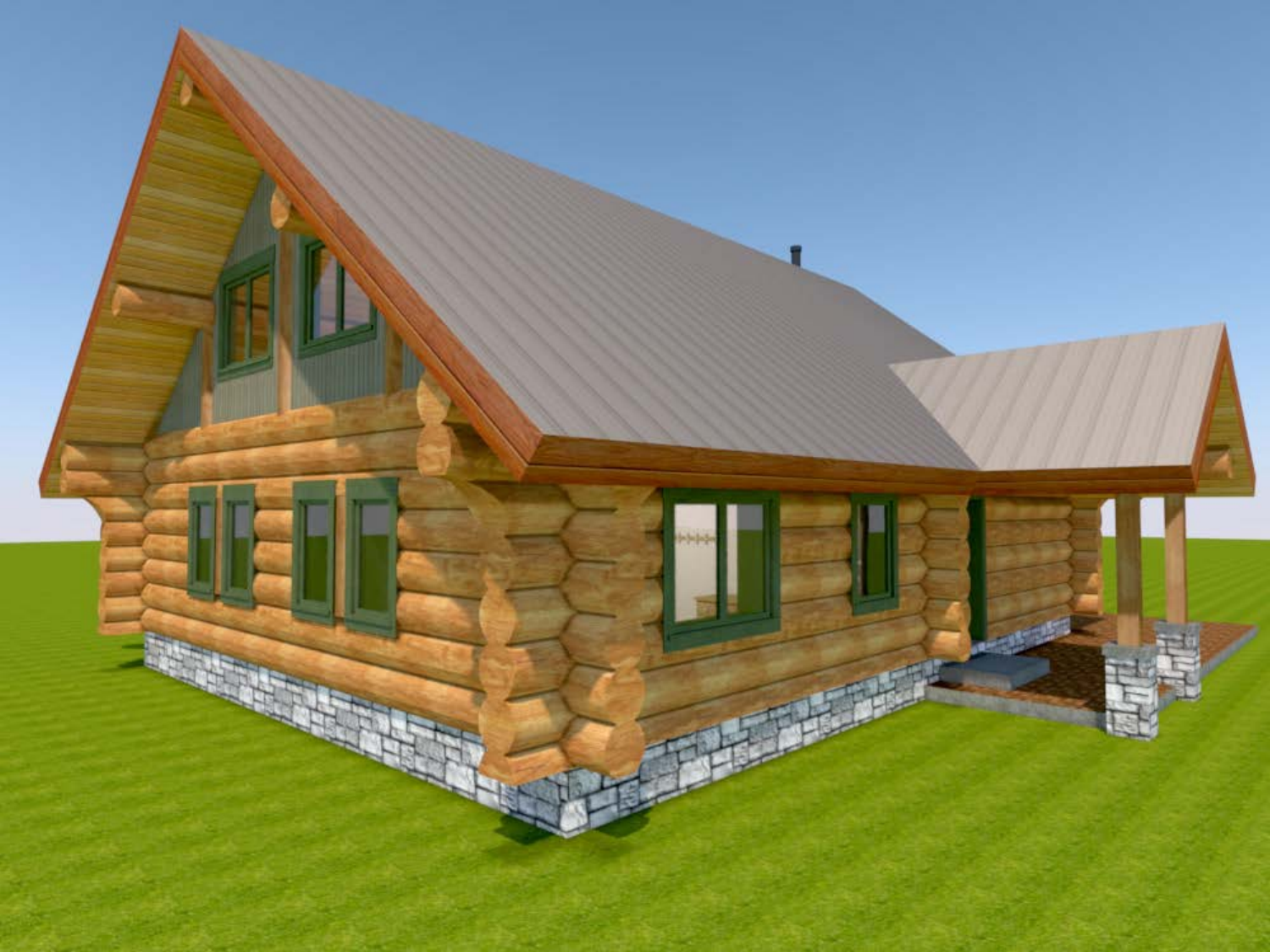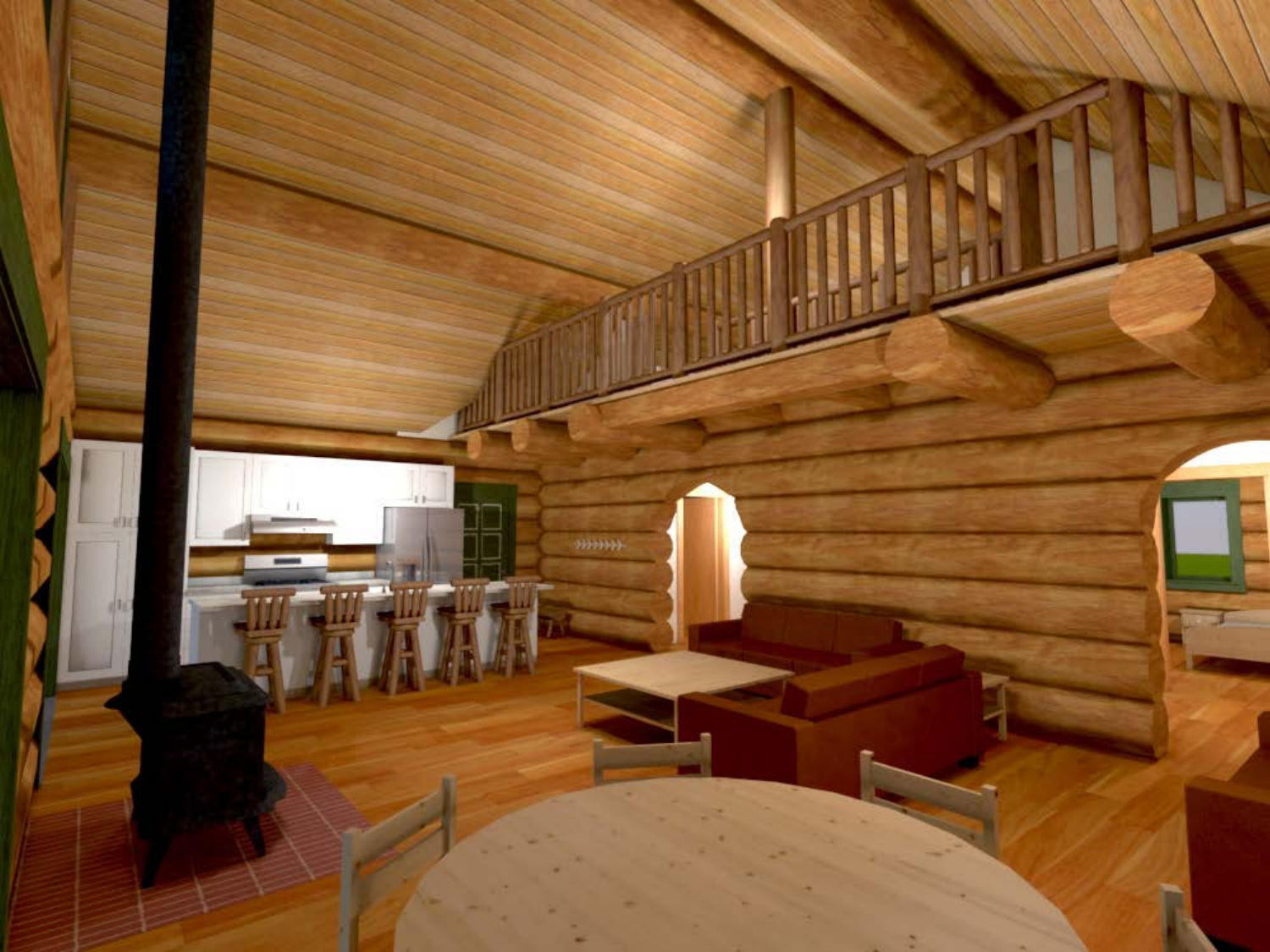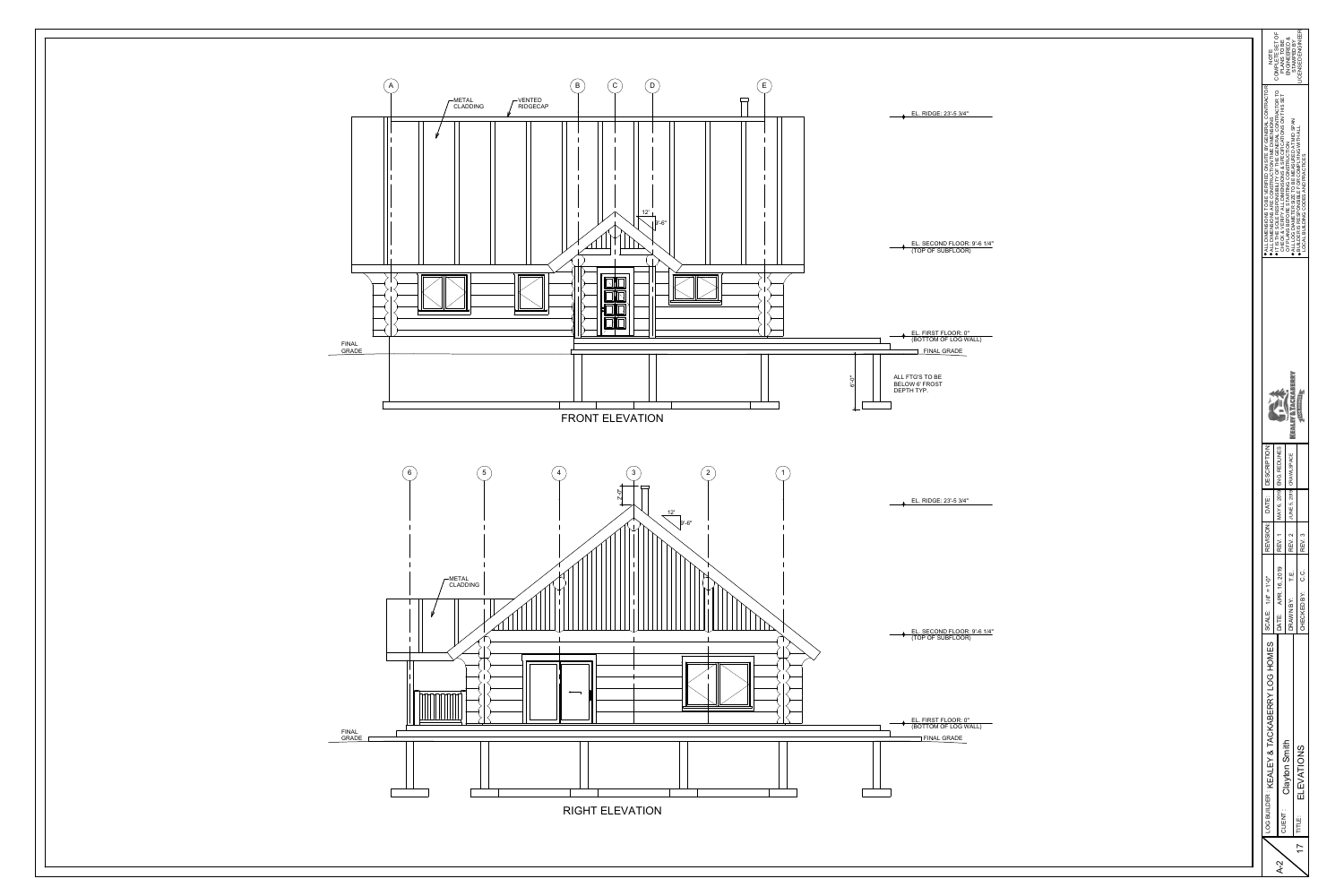| NOTE:<br>COMPLETE SET OF<br>PLANS TO BE<br>ENGINEERED &<br>STAMPED BY<br>STAMPED BY<br>● ALL DIMENSIONS TO BE VERIFIED ON SITE BY GENERAL CONTRACTOR<br>● ALL DIMENSIONS ARE CONSTRUCTION TIME DIMENSIONS<br>● IT IS THE SOLE RESPONSIBILITY OF THE GENERAL CONTRACTOR TO<br>OF PLANS BEFORE STARTING CONSTRUCTION<br>OF PLANS B |
|----------------------------------------------------------------------------------------------------------------------------------------------------------------------------------------------------------------------------------------------------------------------------------------------------------------------------------|
|                                                                                                                                                                                                                                                                                                                                  |
| TACKABERRY<br>LOG HOMES                                                                                                                                                                                                                                                                                                          |
| È<br><b>REA</b><br>DESCRIPTION:<br>ENG. REDLINES<br><b>CRAWLSPACE</b><br>2019<br>MAY 6, 2019<br>DATE:<br>JUNE 5,<br>REVISION:<br>REV. 2<br>REV.1<br>$\infty$<br>REV.                                                                                                                                                             |
| 2019<br>C.<br>C.<br>닏<br>$1/4" = 1'-0"$<br>16,<br>APR.<br>BY:<br>DRAWN BY:<br>CHECKED<br>SCALE:<br>DATE:                                                                                                                                                                                                                         |
| HOMES<br>LOG<br><b>BERRY</b><br>TACKA<br>ELEVATIONS<br>య<br>LOG BUILDER : KEALEY<br>$\sim$<br>CLIENT<br>TITLE:<br>$\overline{1}$<br>$A-2$                                                                                                                                                                                        |
|                                                                                                                                                                                                                                                                                                                                  |

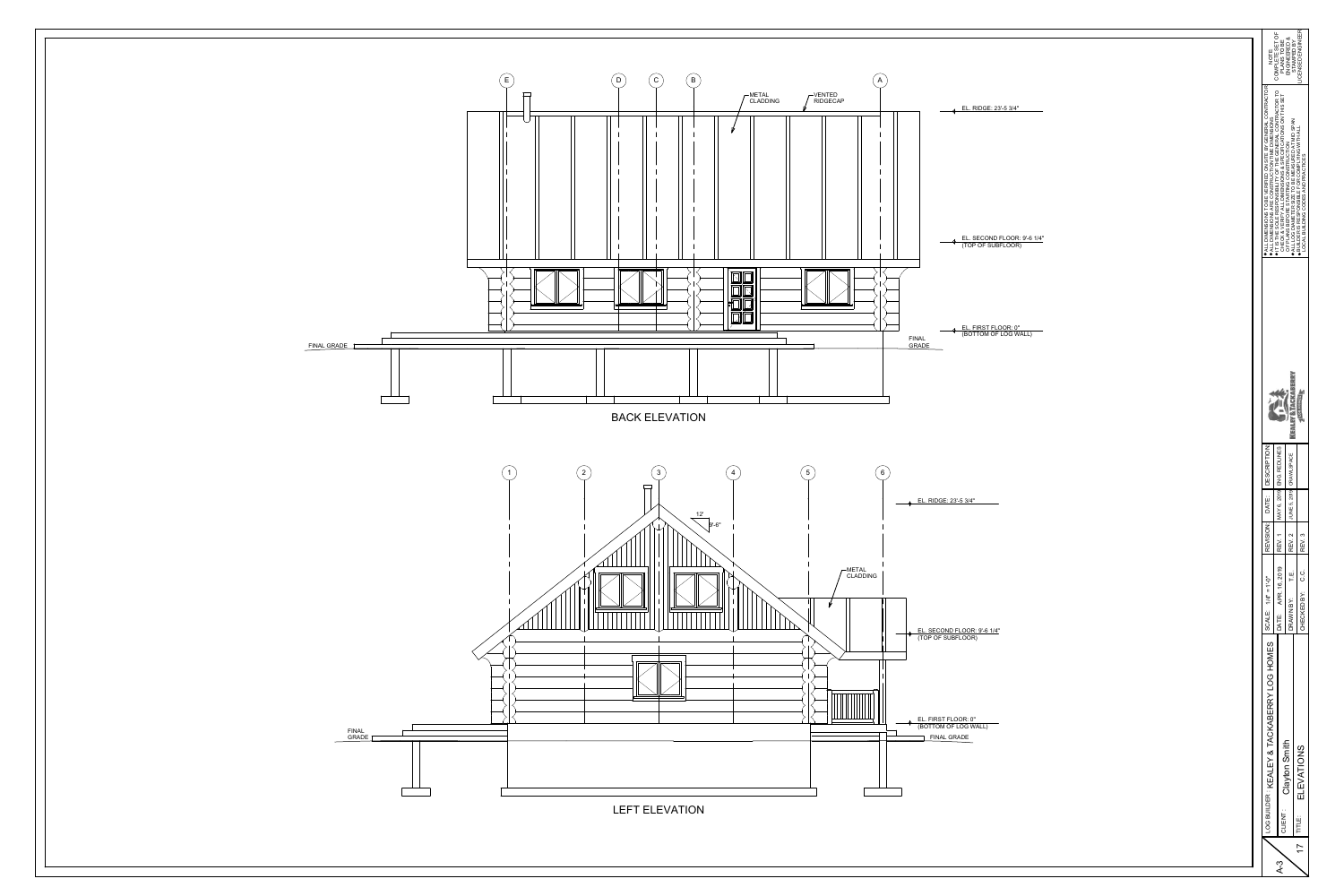|                                                                                                                              | NOTE:<br>COMPLETE SET OF<br>PLANS TO BE<br>ENGINEERED &<br>STAMPED BY<br>STAMPED BY                                                                                                                                                    |                                                        |
|------------------------------------------------------------------------------------------------------------------------------|----------------------------------------------------------------------------------------------------------------------------------------------------------------------------------------------------------------------------------------|--------------------------------------------------------|
| EL. RIDGE: 23'-5 3/4"<br>⊕                                                                                                   | ● ALL DIMENSIONS TO BE VERIFIED ON SITE BY GENERAL CONTRACTOR<br>● ALL DIMENSIONS ARE CONSTRUCTION TIME DIMENSIONS<br>● IT IS THE SOLE RESPONSIBILITY OF THE GENERAL CONTRACTOR TO<br>CHECK & VERIFY ALL DIMENSIONS & SPECIFICATIONS O |                                                        |
| EL. SECOND FLOOR: 9'-6 1/4"<br>(TOP OF SUBFLOOR)                                                                             |                                                                                                                                                                                                                                        |                                                        |
| EL. FIRST FLOOR: 0"<br>(BOTTOM OF LOG WALL)<br>AL<br>ADE                                                                     |                                                                                                                                                                                                                                        |                                                        |
|                                                                                                                              |                                                                                                                                                                                                                                        | KEALEY&TACKABERRY<br><b>DOG HOMES</b>                  |
|                                                                                                                              | DESCRIPTION:<br><b>REDLINES</b><br>ENG.<br>2019                                                                                                                                                                                        | <b>CRAWLSPACE</b><br>2019                              |
| EL. RIDGE: 23'-5 3/4"                                                                                                        | DATE:<br><u>(</u><br><b>MAY</b><br>REVISION:<br>$\overline{\phantom{0}}$<br>REV.                                                                                                                                                       | $\mathfrak{c}$<br>JUNE<br>REV. 2<br>REV.3              |
|                                                                                                                              | 2019<br>$1 - 0$ <sup>"</sup><br>16,<br>$\, \Pi$<br>APR.<br>$1/4$ "<br>SCALE:<br>DATE:                                                                                                                                                  | C.<br>C.<br>$\overline{L}$<br>CHECKED BY:<br>DRAWN BY: |
| <u>EL. SECOND FLOOR: 9'-6 1/4"</u><br>(TOP OF SUBFLOOR)<br>EL. FIRST FLOOR: 0"<br>(BOTTOM OF LOG WALL)<br><b>FINAL GRADE</b> | HOMES<br><b>LOG</b><br><b>TACKABERRY</b>                                                                                                                                                                                               |                                                        |
|                                                                                                                              | య<br>KEALEY<br>$\sim$<br>LOG BUILDER<br>$\sim$<br>CLIENT                                                                                                                                                                               | ELEVATIONS<br>י שו<br>דוו                              |
|                                                                                                                              | $A-3$                                                                                                                                                                                                                                  | $\overline{1}$                                         |

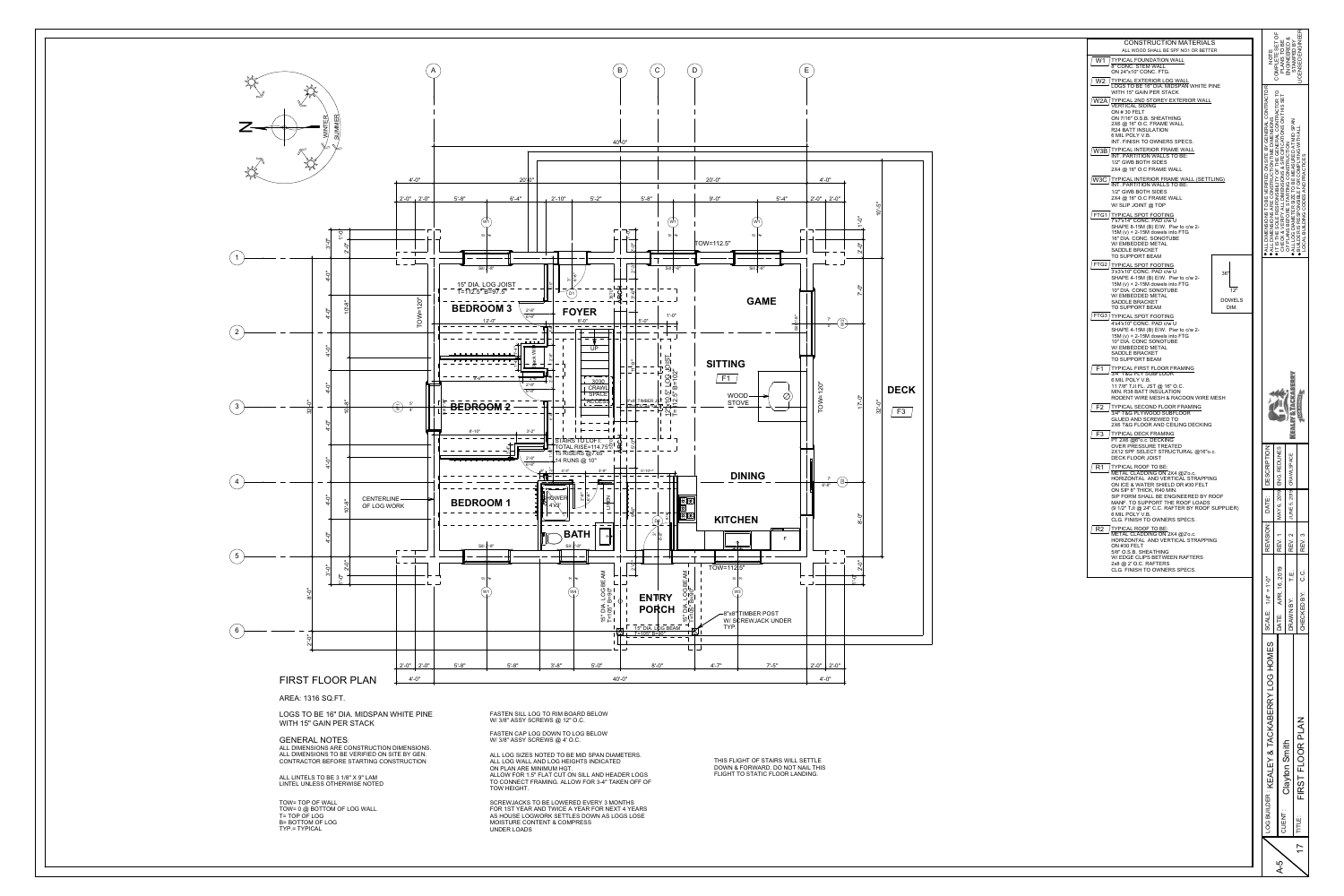

| <b>CONSTRUCTION MATERIALS</b><br>ALL WOOD SHALL BE SPF NO1 OR BETTER                                                                                                                                                                                                                     |                                                                          | BE                                                                                                                       | ళ                                                                                                                  |
|------------------------------------------------------------------------------------------------------------------------------------------------------------------------------------------------------------------------------------------------------------------------------------------|--------------------------------------------------------------------------|--------------------------------------------------------------------------------------------------------------------------|--------------------------------------------------------------------------------------------------------------------|
| <b>TYPICAL FOUNDATION WALL</b><br>W <sub>1</sub><br>8" CONC. STEM WALL<br>ON 24"x10" CONC. FTG.                                                                                                                                                                                          | NOTE:                                                                    | COMPLETE                                                                                                                 | PLANS TO BE<br>ENGINEERED 8<br>STAMPFD BY                                                                          |
| <b>TYPICAL EXTERIOR LOG WALL</b><br>W <sub>2</sub><br>LOGS TO BE 16" DIA. MIDSPAN WHITE PINE<br>WITH 15" GAIN PER STACK                                                                                                                                                                  |                                                                          |                                                                                                                          |                                                                                                                    |
| TYPICAL 2ND STOREY EXTERIOR WALL<br>W <sub>2</sub> A<br><b>VERTICAL SIDING</b><br><b>ON #30 FELT</b><br>ON 7/16" O.S.B. SHEATHING<br>2X6 @ 16" O.C. FRAME WALL<br><b>R24 BATT INSULATION</b><br>6 MIL POLY V.B.<br>INT. FINISH TO OWNERS SPECS.                                          | ON SITE BY GENERAL CONTRACTOR                                            | IT IS THE SOLE RESPONSIBILITY OF THE GENERAL CONTRACTOR TO<br>CHECK & VERIFY ALL DIMENSIONS & SPECIFICATIONS ON THIS SET |                                                                                                                    |
| <b>TYPICAL INTERIOR FRAME WALL</b><br>W3B<br>INT. PARTITION WALLS TO BE:<br>1/2" GWB BOTH SIDES<br>2X4 @ 16" O.C FRAME WALL                                                                                                                                                              |                                                                          |                                                                                                                          |                                                                                                                    |
| W <sub>3</sub> C<br>TYPICAL INTERIOR FRAME WALL (SETTLING)<br><b>INT. PARTITION WALLS TO BE:</b><br>1/2" GWB BOTH SIDES<br>2X4 @ 16" O.C FRAME WALL<br>W/ SLIP JOINT @ TOP                                                                                                               | DIMENSIONS ARE CONSTRUCTION TIME DIMENSIONS<br>DIMENSIONS TO BE VERIFIED |                                                                                                                          |                                                                                                                    |
| FTG1<br><b>TYPICAL SPOT FOOTING</b><br>7'x7'x14" CONC. PAD c/w U<br>SHAPE 8-15M (B) E/W. Pier to c/w 2-<br>15M (v) + 2-15M dowels into FTG<br>16" DIA. CONC. SONOTUBE<br>W/ EMBEDDED METAL<br><b>SADDLE BRACKET</b><br>TO SUPPORT BEAM                                                   | ALL<br>ALL I<br><b>. .</b>                                               | $\bullet$                                                                                                                | OF PLANS BEFORE STARTING CONSTRUCTION<br>ALL LOG DIAMETER SIZE TO BE MEASURED AT MID SPAN<br>ALL LOG DIAMETER<br>Ò |
| FTG <sub>2</sub><br><b>TYPICAL SPOT FOOTING</b><br>3'x3'x10" CONC. PAD c/w U<br>36"<br>SHAPE 4-15M (B) E/W. Pier to c/w 2-<br>15M (v) + 2-15M dowels into FTG<br>12"<br>10" DIA. CONC SONOTUBE<br>W/ EMBEDDED METAL<br><b>DOWELS</b><br><b>SADDLE BRACKET</b><br>DIM.<br>TO SUPPORT BEAM |                                                                          |                                                                                                                          |                                                                                                                    |
| FTG3 / TYPICAL SPOT FOOTING<br>4'x4'x10" CONC. PAD c/w U<br>SHAPE 4-15M (B) E/W. Pier to c/w 2-<br>15M (v) + 2-15M dowels into FTG<br>10" DIA. CONC SONOTUBE<br>W/ EMBEDDED METAL<br>SADDLE BRACKET<br>TO SUPPORT BEAM                                                                   |                                                                          |                                                                                                                          |                                                                                                                    |
| <b>TYPICAL FIRST FLOOR FRAMING</b><br>F <sub>1</sub><br>3/4" T&G PLY SUBFLOOR<br>6 MIL POLY V.B.<br>11 7/8" TJI FL. JST @ 16" O.C.<br>MIN. R38 BATT INSULATION<br>RODENT WIRE MESH & RACOON WIRE MESH                                                                                    |                                                                          |                                                                                                                          |                                                                                                                    |
| F <sub>2</sub><br><b>TYPICAL SECOND FLOOR FRAMING</b><br>3/4" T&G PLYWOOD SUBFLOOR<br><b>GLUED AND SCREWED TO</b><br>2X6 T&G FLOOR AND CEILING DECKING<br>F3<br><b>TYPICAL DECK FRAMING</b>                                                                                              |                                                                          |                                                                                                                          |                                                                                                                    |
| PT 2X6 @6"o.c. DECKING<br><b>OVER PRESSURE TREATED</b><br>2X12 SPF SELECT STRUCTURAL @16"o.c.<br><b>DECK FLOOR JOIST</b>                                                                                                                                                                 | ESCRIPTION                                                               | REDLINES                                                                                                                 |                                                                                                                    |
| <b>TYPICAL ROOF TO BE:</b><br>R1<br>METAL CLADDING ON 2X4 @2'o.c.<br>HORIZONTAL AND VERTICAL STRAPPING<br>ON ICE & WATER SHIELD OR #30 FELT<br>ON SIP 8" THICK, R40 MIN.                                                                                                                 | ᅙ                                                                        | ENG.<br>တ                                                                                                                | CRAWLSPACE                                                                                                         |
| SIP FORM SHALL BE ENGINEERED BY ROOF<br>MANF. TO SUPPORT THE ROOF LOADS<br>(9 1/2" TJI @ 24" C.C. RAFTER BY ROOF SUPPLIER)<br>6 MIL POLY V.B.<br>CLG. FINISH TO OWNERS SPECS.                                                                                                            | ய்<br>δ                                                                  | 201<br>ဖ<br><b>NAY</b>                                                                                                   | 2019<br>ယ<br><b>ANE</b>                                                                                            |
| <b>TYPICAL ROOF TO BE:</b><br>R <sub>2</sub><br>METAL CLADDING ON 2X4 @2'o.c.<br>HORIZONTAL AND VERTICAL STRAPPING<br>ON #30 FELT<br>5/8" O.S.B. SHEATHING                                                                                                                               | REVISION:                                                                | $\overline{ }$<br>REV.                                                                                                   | $\mathbf{\Omega}$<br>REV.                                                                                          |
| W/ EDGE CLIPS BETWEEN RAFTERS<br>2x8 @ 2' O.C. RAFTERS<br>CLG. FINISH TO OWNERS SPECS.                                                                                                                                                                                                   | $1 - 0$ "                                                                | 2019<br>16,                                                                                                              | ш<br>Н                                                                                                             |
|                                                                                                                                                                                                                                                                                          | Ш                                                                        | œ                                                                                                                        |                                                                                                                    |



SCREWJACKS TO BE LOWERED EVERY 3 MONTHS FOR 1ST YEAR AND TWICE A YEAR FOR NEXT 4 YEARS AS HOUSE LOGWORK SETTLES DOWN AS LOGS LOSE MOISTURE CONTENT & COMPRESS UNDER LOADS

TOW= TOP OF WALL TOW= 0 @ BOTTOM OF LOG WALL T= TOP OF LOG B= BOTTOM OF LOG TYP.= TYPICAL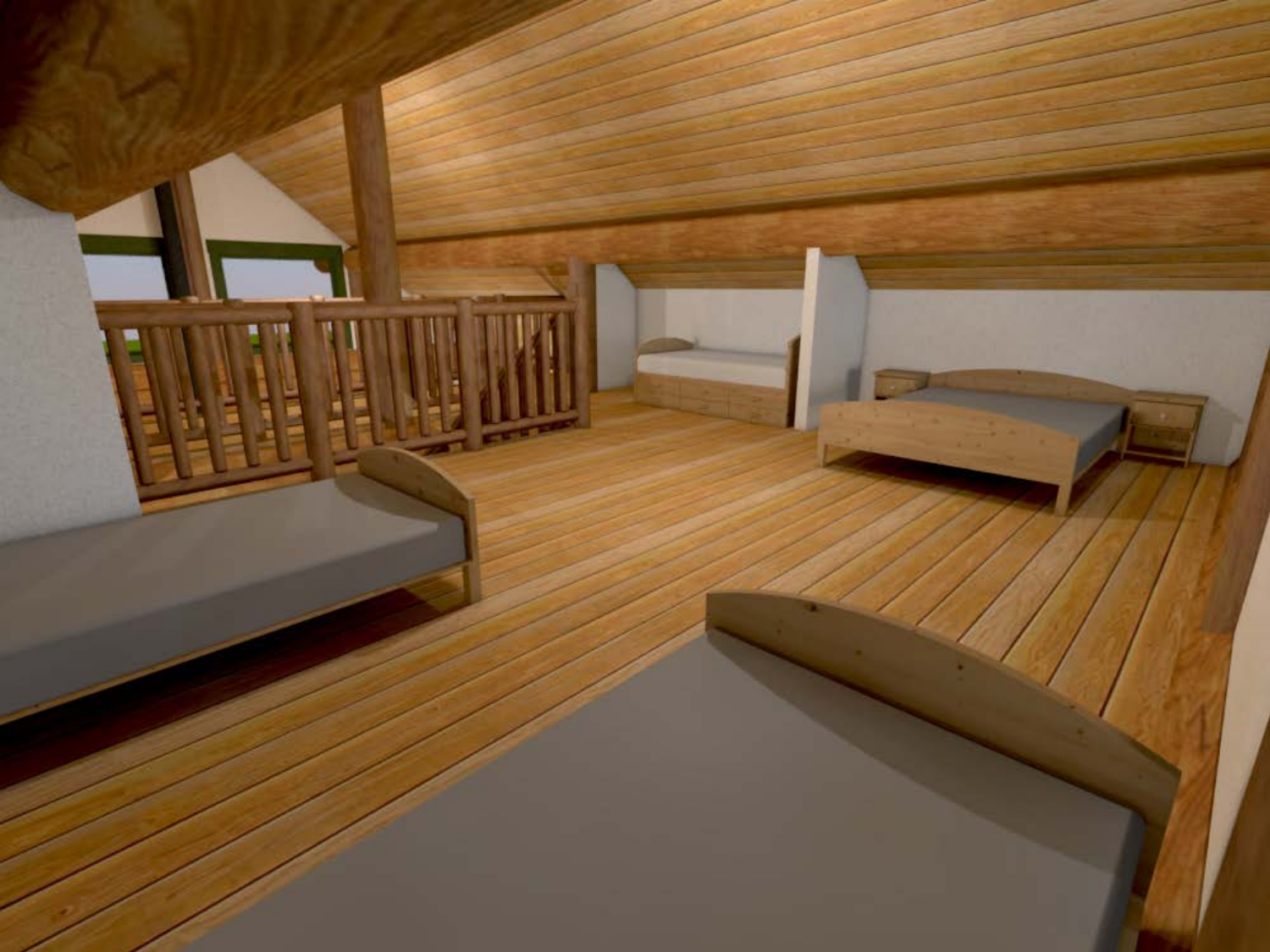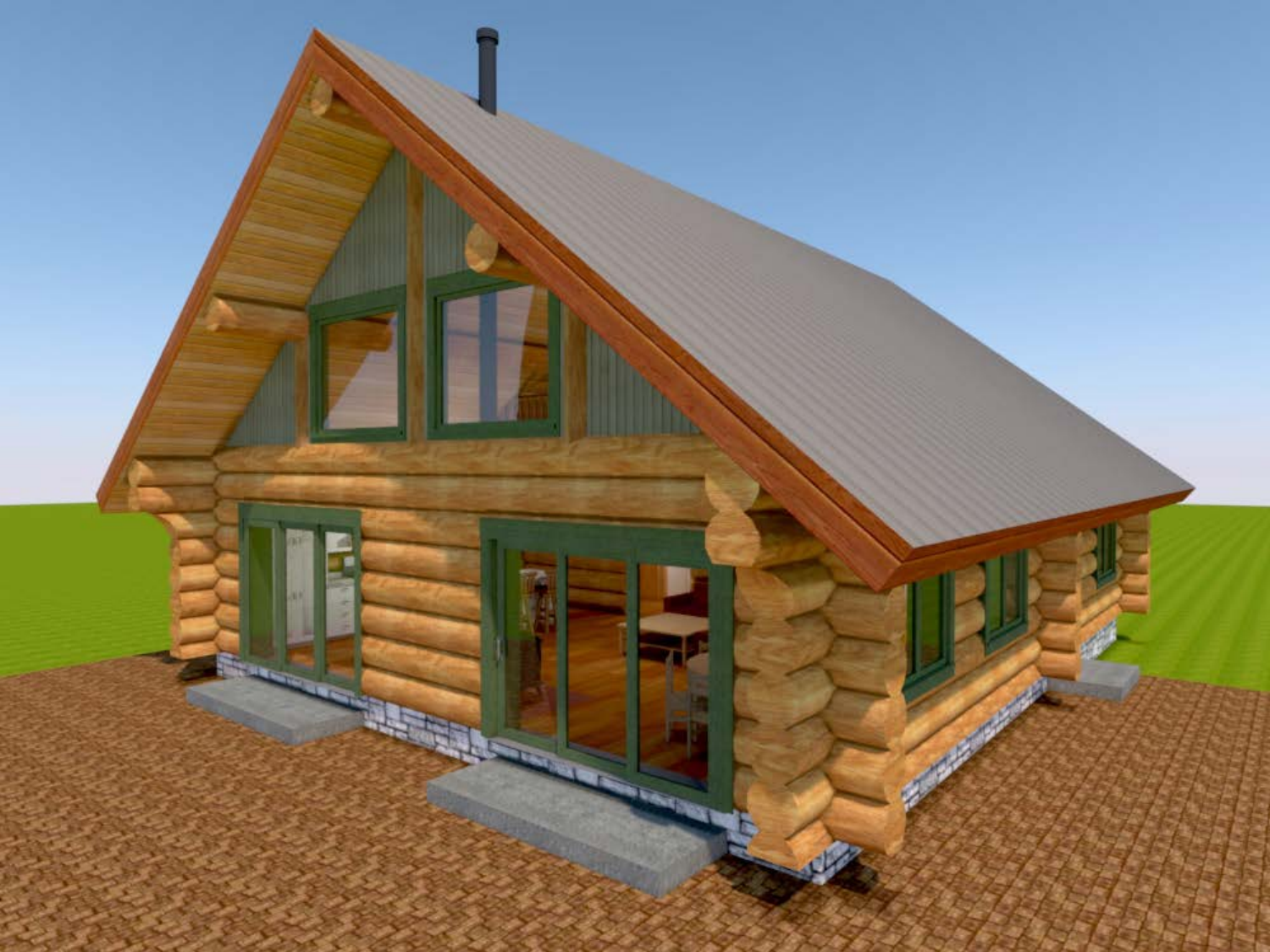